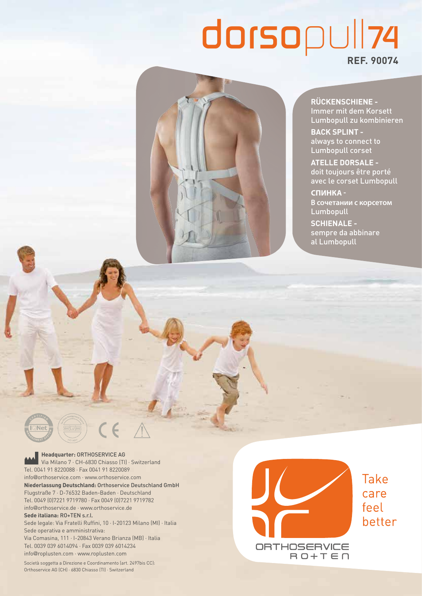# *dorsopull74* **REF. 90074**

**RÜCKENSCHIENE -** Immer mit dem Korsett Lumbopull zu kombinieren

**BACK SPLINT**  always to connect to Lumbopull corset

**ATELLE DORSALE**  doit toujours être porté avec le corset Lumbopull

**CПИНКА - В сочетании с корсетом**  Lumbopull

**SCHIENALE**  sempre da abbinare al Lumbopull

**Headquarter:** ORTHOSERVICE AG Via Milano 7 · CH-6830 Chiasso (TI) · Switzerland Tel. 0041 91 8220088 · Fax 0041 91 8220089 info@orthoservice.com · www.orthoservice.com **Niederlassung Deutschland:** Orthoservice Deutschland GmbH Flugstraße 7 · D-76532 Baden-Baden · Deutschland Tel. 0049 (0)7221 9719780 · Fax 0049 (0)7221 9719782 info@orthoservice.de · www.orthoservice.de **Sede italiana:** RO+TEN s.r.l. Sede legale: Via Fratelli Ruffini, 10 · I-20123 Milano (MI) · Italia Sede operativa e amministrativa: Via Comasina, 111 · I-20843 Verano Brianza (MB) · Italia Tel. 0039 039 6014094 · Fax 0039 039 6014234 info@roplusten.com · www.roplusten.com

 $\epsilon$ 

Società soggetta a Direzione e Coordinamento (art. 2497bis CC): Orthoservice AG (CH) · 6830 Chiasso (TI) · Switzerland

**Take** care feel better ORTHOSERVICE  $B$  $D+T$  $E$  $n$